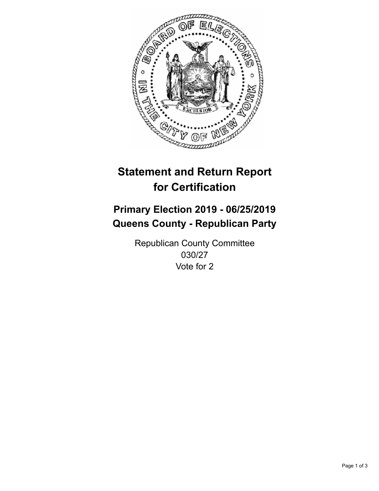

## **Statement and Return Report for Certification**

## **Primary Election 2019 - 06/25/2019 Queens County - Republican Party**

Republican County Committee 030/27 Vote for 2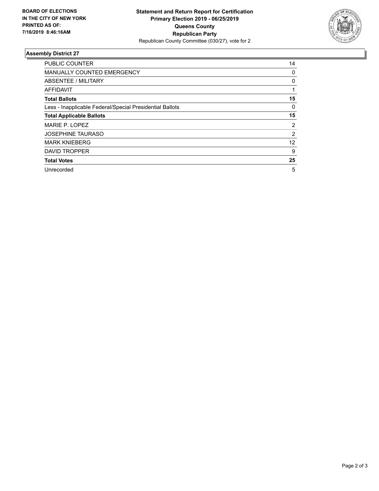

## **Assembly District 27**

| <b>PUBLIC COUNTER</b>                                    | 14 |
|----------------------------------------------------------|----|
| <b>MANUALLY COUNTED EMERGENCY</b>                        | 0  |
| ABSENTEE / MILITARY                                      | 0  |
| AFFIDAVIT                                                |    |
| <b>Total Ballots</b>                                     | 15 |
| Less - Inapplicable Federal/Special Presidential Ballots | 0  |
| <b>Total Applicable Ballots</b>                          | 15 |
| MARIE P. LOPEZ                                           | 2  |
| <b>JOSEPHINE TAURASO</b>                                 | 2  |
| <b>MARK KNIEBERG</b>                                     | 12 |
| <b>DAVID TROPPER</b>                                     | 9  |
| <b>Total Votes</b>                                       | 25 |
| Unrecorded                                               | 5  |